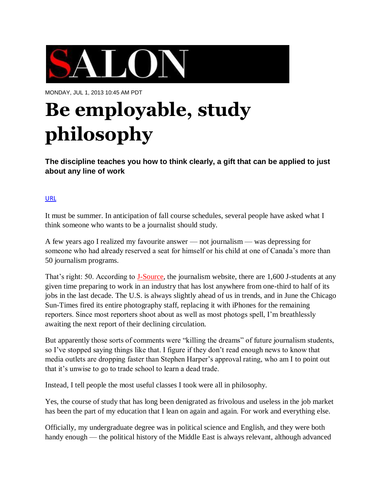

MONDAY, JUL 1, 2013 10:45 AM PDT

# **Be [employable,](http://www.salon.com/2013/07/01/be_employable_study_philosophy_partner/) study [philosophy](http://www.salon.com/2013/07/01/be_employable_study_philosophy_partner/)**

**The discipline teaches you how to think clearly, a gift that can be applied to just about any line of work**

#### [URL](http://www.salon.com/2013/07/01/be_employable_study_philosophy_partner/)

It must be summer. In anticipation of fall course schedules, several people have asked what I think someone who wants to be a journalist should study.

A few years ago I realized my favourite answer — not journalism — was depressing for someone who had already reserved a seat for himself or his child at one of Canada's more than 50 journalism programs.

That's right: 50. According to [J-Source,](http://j-source.ca/) the journalism website, there are 1,600 J-students at any given time preparing to work in an industry that has lost anywhere from one-third to half of its jobs in the last decade. The U.S. is always slightly ahead of us in trends, and in June the Chicago Sun-Times fired its entire photography staff, replacing it with iPhones for the remaining reporters. Since most reporters shoot about as well as most photogs spell, I'm breathlessly awaiting the next report of their declining circulation.

But apparently those sorts of comments were "killing the dreams" of future journalism students, so I've stopped saying things like that. I figure if they don't read enough news to know that media outlets are dropping faster than Stephen Harper's approval rating, who am I to point out that it's unwise to go to trade school to learn a dead trade.

Instead, I tell people the most useful classes I took were all in philosophy.

Yes, the course of study that has long been denigrated as frivolous and useless in the job market has been the part of my education that I lean on again and again. For work and everything else.

Officially, my undergraduate degree was in political science and English, and they were both handy enough — the political history of the Middle East is always relevant, although advanced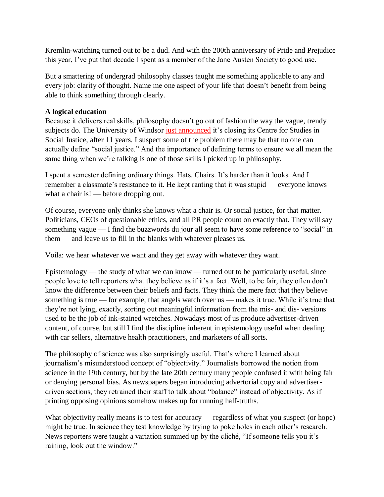Kremlin-watching turned out to be a dud. And with the 200th anniversary of Pride and Prejudice this year, I've put that decade I spent as a member of the Jane Austen Society to good use.

But a smattering of undergrad philosophy classes taught me something applicable to any and every job: clarity of thought. Name me one aspect of your life that doesn't benefit from being able to think something through clearly.

## **A logical education**

Because it delivers real skills, philosophy doesn't go out of fashion the way the vague, trendy subjects do. The University of Windsor just [announced](http://news.nationalpost.com/2013/06/23/social-justice-to-join-the-ghostly-ranks-of-obsolete-academic-departments-haunting-university-campuses/) it's closing its Centre for Studies in Social Justice, after 11 years. I suspect some of the problem there may be that no one can actually define "social justice." And the importance of defining terms to ensure we all mean the same thing when we're talking is one of those skills I picked up in philosophy.

I spent a semester defining ordinary things. Hats. Chairs. It's harder than it looks. And I remember a classmate's resistance to it. He kept ranting that it was stupid — everyone knows what a chair is! — before dropping out.

Of course, everyone only thinks she knows what a chair is. Or social justice, for that matter. Politicians, CEOs of questionable ethics, and all PR people count on exactly that. They will say something vague — I find the buzzwords du jour all seem to have some reference to "social" in them — and leave us to fill in the blanks with whatever pleases us.

Voila: we hear whatever we want and they get away with whatever they want.

Epistemology — the study of what we can know — turned out to be particularly useful, since people love to tell reporters what they believe as if it's a fact. Well, to be fair, they often don't know the difference between their beliefs and facts. They think the mere fact that they believe something is true — for example, that angels watch over us — makes it true. While it's true that they're not lying, exactly, sorting out meaningful information from the mis- and dis- versions used to be the job of ink-stained wretches. Nowadays most of us produce advertiser-driven content, of course, but still I find the discipline inherent in epistemology useful when dealing with car sellers, alternative health practitioners, and marketers of all sorts.

The philosophy of science was also surprisingly useful. That's where I learned about journalism's misunderstood concept of "objectivity." Journalists borrowed the notion from science in the 19th century, but by the late 20th century many people confused it with being fair or denying personal bias. As newspapers began introducing advertorial copy and advertiserdriven sections, they retrained their staff to talk about "balance" instead of objectivity. As if printing opposing opinions somehow makes up for running half-truths.

What objectivity really means is to test for accuracy — regardless of what you suspect (or hope) might be true. In science they test knowledge by trying to poke holes in each other's research. News reporters were taught a variation summed up by the cliché, "If someone tells you it's raining, look out the window."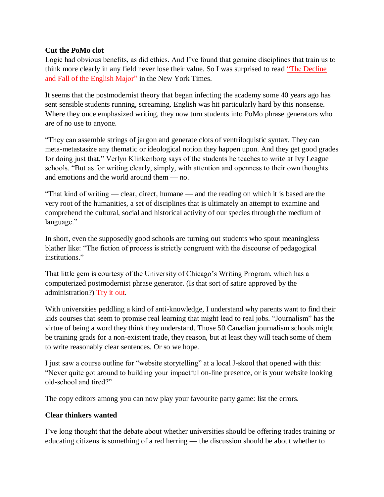## **Cut the PoMo clot**

Logic had obvious benefits, as did ethics. And I've found that genuine disciplines that train us to think more clearly in any field never lose their value. So I was surprised to read "The [Decline](http://www.nytimes.com/2013/06/23/opinion/sunday/the-decline-and-fall-of-the-english-major.html?_r=1)" and Fall of the [English](http://www.nytimes.com/2013/06/23/opinion/sunday/the-decline-and-fall-of-the-english-major.html?_r=1) Major" in the New York Times.

It seems that the postmodernist theory that began infecting the academy some 40 years ago has sent sensible students running, screaming. English was hit particularly hard by this nonsense. Where they once emphasized writing, they now turn students into PoMo phrase generators who are of no use to anyone.

"They can assemble strings of jargon and generate clots of ventriloquistic syntax. They can meta-metastasize any thematic or ideological notion they happen upon. And they get good grades for doing just that," Verlyn Klinkenborg says of the students he teaches to write at Ivy League schools. "But as for writing clearly, simply, with attention and openness to their own thoughts and emotions and the world around them — no.

"That kind of writing — clear, direct, humane — and the reading on which it is based are the very root of the humanities, a set of disciplines that is ultimately an attempt to examine and comprehend the cultural, social and historical activity of our species through the medium of language."

In short, even the supposedly good schools are turning out students who spout meaningless blather like: "The fiction of process is strictly congruent with the discourse of pedagogical institutions."

That little gem is courtesy of the University of Chicago's Writing Program, which has a computerized postmodernist phrase generator. (Is that sort of satire approved by the administration?) [Try](http://writing-program.uchicago.edu/toys/randomsentence/write-sentence.htm) it out.

With universities peddling a kind of anti-knowledge, I understand why parents want to find their kids courses that seem to promise real learning that might lead to real jobs. "Journalism" has the virtue of being a word they think they understand. Those 50 Canadian journalism schools might be training grads for a non-existent trade, they reason, but at least they will teach some of them to write reasonably clear sentences. Or so we hope.

I just saw a course outline for "website storytelling" at a local J-skool that opened with this: "Never quite got around to building your impactful on-line presence, or is your website looking old-school and tired?"

The copy editors among you can now play your favourite party game: list the errors.

## **Clear thinkers wanted**

I've long thought that the debate about whether universities should be offering trades training or educating citizens is something of a red herring — the discussion should be about whether to